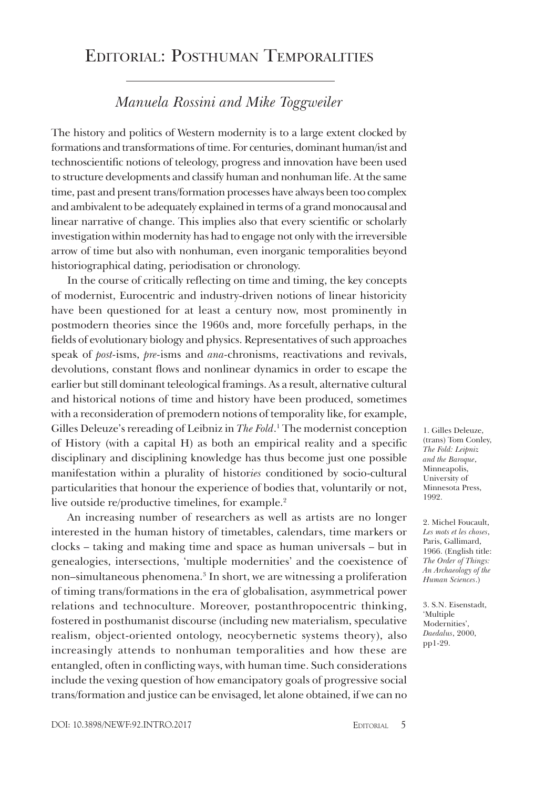## Editorial: Posthuman Temporalities

## *Manuela Rossini and Mike Toggweiler*

The history and politics of Western modernity is to a large extent clocked by formations and transformations of time. For centuries, dominant human/ist and technoscientific notions of teleology, progress and innovation have been used to structure developments and classify human and nonhuman life. At the same time, past and present trans/formation processes have always been too complex and ambivalent to be adequately explained in terms of a grand monocausal and linear narrative of change. This implies also that every scientific or scholarly investigation within modernity has had to engage not only with the irreversible arrow of time but also with nonhuman, even inorganic temporalities beyond historiographical dating, periodisation or chronology.

In the course of critically reflecting on time and timing, the key concepts of modernist, Eurocentric and industry-driven notions of linear historicity have been questioned for at least a century now, most prominently in postmodern theories since the 1960s and, more forcefully perhaps, in the fields of evolutionary biology and physics. Representatives of such approaches speak of *post-*isms, *pre-*isms and *ana-*chronisms, reactivations and revivals, devolutions, constant flows and nonlinear dynamics in order to escape the earlier but still dominant teleological framings. As a result, alternative cultural and historical notions of time and history have been produced, sometimes with a reconsideration of premodern notions of temporality like, for example, Gilles Deleuze's rereading of Leibniz in *The Fold*.<sup>1</sup> The modernist conception of History (with a capital H) as both an empirical reality and a specific disciplinary and disciplining knowledge has thus become just one possible manifestation within a plurality of histor*ies* conditioned by socio-cultural particularities that honour the experience of bodies that, voluntarily or not, live outside re/productive timelines, for example.<sup>2</sup>

An increasing number of researchers as well as artists are no longer interested in the human history of timetables, calendars, time markers or clocks – taking and making time and space as human universals – but in genealogies, intersections, 'multiple modernities' and the coexistence of non–simultaneous phenomena.3 In short, we are witnessing a proliferation of timing trans/formations in the era of globalisation, asymmetrical power relations and technoculture. Moreover, postanthropocentric thinking, fostered in posthumanist discourse (including new materialism, speculative realism, object-oriented ontology, neocybernetic systems theory), also increasingly attends to nonhuman temporalities and how these are entangled, often in conflicting ways, with human time. Such considerations include the vexing question of how emancipatory goals of progressive social trans/formation and justice can be envisaged, let alone obtained, if we can no

1. Gilles Deleuze, (trans) Tom Conley, *The Fold: Leipniz and the Baroque*, Minneapolis, University of Minnesota Press, 1992.

2. Michel Foucault, *Les mots et les choses*, Paris, Gallimard, 1966. (English title: *The Order of Things: An Archaeology of the Human Sciences*.)

3. S.N. Eisenstadt, 'Multiple Modernities', *Daedalus*, 2000, pp1-29.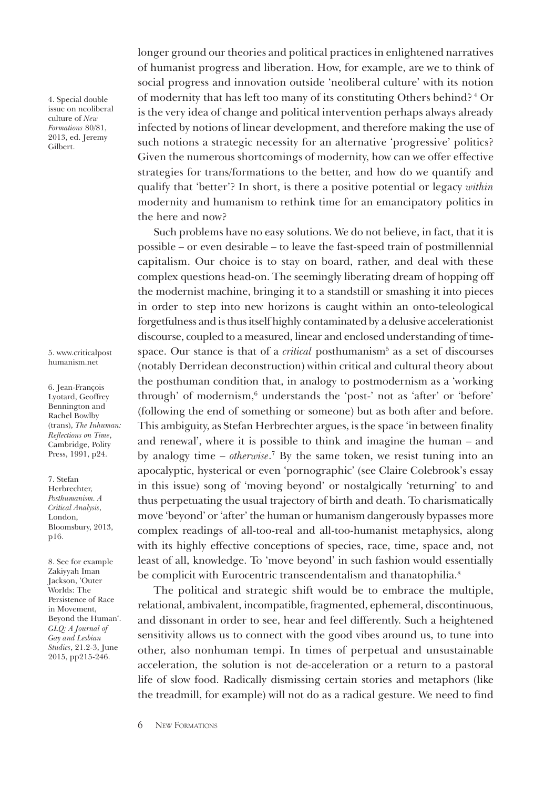4. Special double issue on neoliberal culture of *New Formations* 80/81, 2013, ed. Jeremy Gilbert.

## [5. www.criticalpost](www.criticalposthumanism.net)  humanism.net

6. Jean-François Lyotard, Geoffrey Bennington and Rachel Bowlby (trans), *The Inhuman: Reflections on Time*, Cambridge, Polity Press, 1991, p24.

7. Stefan Herbrechter, *Posthumanism. A Critical Analysis*, London, Bloomsbury, 2013, p16.

8. See for example Zakiyyah Iman Jackson, 'Outer Worlds: The Persistence of Race in Movement, Beyond the Human'. *GLQ: A Journal of Gay and Lesbian Studies*, 21.2-3, June 2015, pp215-246.

longer ground our theories and political practices in enlightened narratives of humanist progress and liberation. How, for example, are we to think of social progress and innovation outside 'neoliberal culture' with its notion of modernity that has left too many of its constituting Others behind? 4 Or is the very idea of change and political intervention perhaps always already infected by notions of linear development, and therefore making the use of such notions a strategic necessity for an alternative 'progressive' politics? Given the numerous shortcomings of modernity, how can we offer effective strategies for trans/formations to the better, and how do we quantify and qualify that 'better'? In short, is there a positive potential or legacy *within*  modernity and humanism to rethink time for an emancipatory politics in the here and now?

Such problems have no easy solutions. We do not believe, in fact, that it is possible – or even desirable – to leave the fast-speed train of postmillennial capitalism. Our choice is to stay on board, rather, and deal with these complex questions head-on. The seemingly liberating dream of hopping off the modernist machine, bringing it to a standstill or smashing it into pieces in order to step into new horizons is caught within an onto-teleological forgetfulness and is thus itself highly contaminated by a delusive accelerationist discourse, coupled to a measured, linear and enclosed understanding of timespace. Our stance is that of a *critical* posthumanism<sup>5</sup> as a set of discourses (notably Derridean deconstruction) within critical and cultural theory about the posthuman condition that, in analogy to postmodernism as a 'working through' of modernism,<sup>6</sup> understands the 'post-' not as 'after' or 'before' (following the end of something or someone) but as both after and before. This ambiguity, as Stefan Herbrechter argues, is the space 'in between finality and renewal', where it is possible to think and imagine the human – and by analogy time – *otherwise*. 7 By the same token, we resist tuning into an apocalyptic, hysterical or even 'pornographic' (see Claire Colebrook's essay in this issue) song of 'moving beyond' or nostalgically 'returning' to and thus perpetuating the usual trajectory of birth and death. To charismatically move 'beyond' or 'after' the human or humanism dangerously bypasses more complex readings of all-too-real and all-too-humanist metaphysics, along with its highly effective conceptions of species, race, time, space and, not least of all, knowledge. To 'move beyond' in such fashion would essentially be complicit with Eurocentric transcendentalism and thanatophilia.<sup>8</sup>

The political and strategic shift would be to embrace the multiple, relational, ambivalent, incompatible, fragmented, ephemeral, discontinuous, and dissonant in order to see, hear and feel differently. Such a heightened sensitivity allows us to connect with the good vibes around us, to tune into other, also nonhuman tempi. In times of perpetual and unsustainable acceleration, the solution is not de-acceleration or a return to a pastoral life of slow food. Radically dismissing certain stories and metaphors (like the treadmill, for example) will not do as a radical gesture. We need to find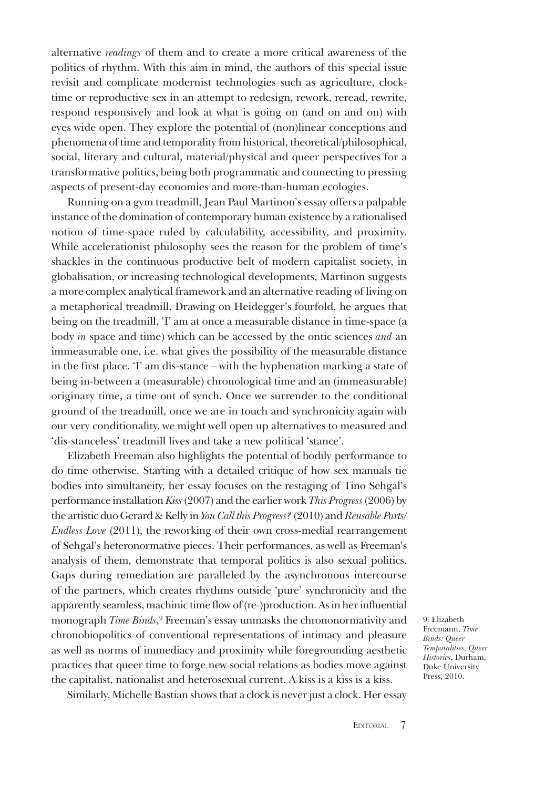alternative *readings* of them and to create a more critical awareness of the politics of rhythm. With this aim in mind, the authors of this special issue revisit and complicate modernist technologies such as agriculture, clocktime or reproductive sex in an attempt to redesign, rework, reread, rewrite, respond responsively and look at what is going on (and on and on) with eyes wide open. They explore the potential of (non)linear conceptions and phenomena of time and temporality from historical, theoretical/philosophical, social, literary and cultural, material/physical and queer perspectives for a transformative politics, being both programmatic and connecting to pressing aspects of present-day economies and more-than-human ecologies.

Running on a gym treadmill, Jean Paul Martinon's essay offers a palpable instance of the domination of contemporary human existence by a rationalised notion of time-space ruled by calculability, accessibility, and proximity. While accelerationist philosophy sees the reason for the problem of time's shackles in the continuous productive belt of modern capitalist society, in globalisation, or increasing technological developments, Martinon suggests a more complex analytical framework and an alternative reading of living on a metaphorical treadmill. Drawing on Heidegger's fourfold, he argues that being on the treadmill, 'I' am at once a measurable distance in time-space (a body *in* space and time) which can be accessed by the ontic sciences *and* an immeasurable one, i.e. what gives the possibility of the measurable distance in the first place. 'I' am dis-stance – with the hyphenation marking a state of being in-between a (measurable) chronological time and an (immeasurable) originary time, a time out of synch. Once we surrender to the conditional ground of the treadmill, once we are in touch and synchronicity again with our very conditionality, we might well open up alternatives to measured and 'dis-stanceless' treadmill lives and take a new political 'stance'.

Elizabeth Freeman also highlights the potential of bodily performance to do time otherwise. Starting with a detailed critique of how sex manuals tie bodies into simultaneity, her essay focuses on the restaging of Tino Sehgal's performance installation *Kiss* (2007) and the earlier work *This Progress* (2006) by the artistic duo Gerard & Kelly in *You Call this Progress?* (2010) and *Reusable Parts/ Endless Love* (2011), the reworking of their own cross-medial rearrangement of Sehgal's heteronormative pieces. Their performances, as well as Freeman's analysis of them, demonstrate that temporal politics is also sexual politics. Gaps during remediation are paralleled by the asynchronous intercourse of the partners, which creates rhythms outside 'pure' synchronicity and the apparently seamless, machinic time flow of (re-)production. As in her influential monograph *Time Binds*, 9 Freeman's essay unmasks the chrononormativity and chronobiopolitics of conventional representations of intimacy and pleasure as well as norms of immediacy and proximity while foregrounding aesthetic practices that queer time to forge new social relations as bodies move against the capitalist, nationalist and heterosexual current. A kiss is a kiss is a kiss.

9. Elizabeth Freemann, *Time Binds: Queer Temporalities, Queer Histories*, Durham, Duke University Press, 2010.

Similarly, Michelle Bastian shows that a clock is never just a clock. Her essay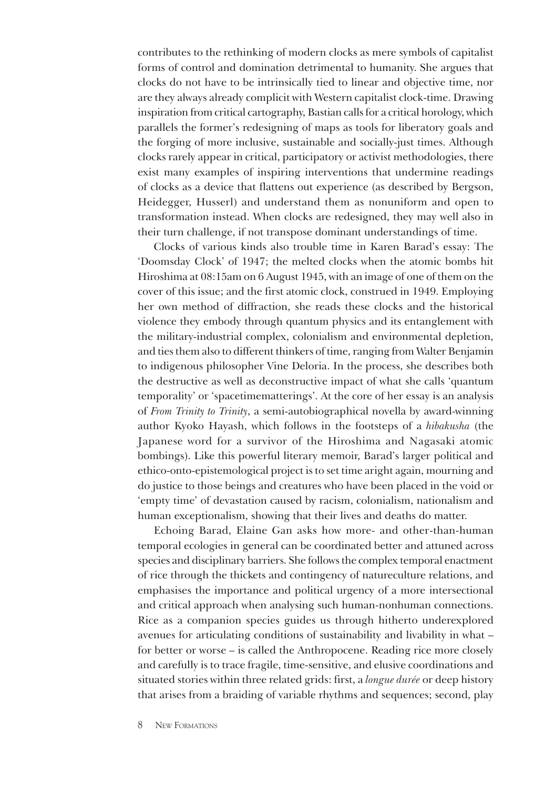contributes to the rethinking of modern clocks as mere symbols of capitalist forms of control and domination detrimental to humanity. She argues that clocks do not have to be intrinsically tied to linear and objective time, nor are they always already complicit with Western capitalist clock-time. Drawing inspiration from critical cartography, Bastian calls for a critical horology, which parallels the former's redesigning of maps as tools for liberatory goals and the forging of more inclusive, sustainable and socially-just times. Although clocks rarely appear in critical, participatory or activist methodologies, there exist many examples of inspiring interventions that undermine readings of clocks as a device that flattens out experience (as described by Bergson, Heidegger, Husserl) and understand them as nonuniform and open to transformation instead. When clocks are redesigned, they may well also in their turn challenge, if not transpose dominant understandings of time.

Clocks of various kinds also trouble time in Karen Barad's essay: The 'Doomsday Clock' of 1947; the melted clocks when the atomic bombs hit Hiroshima at 08:15am on 6 August 1945, with an image of one of them on the cover of this issue; and the first atomic clock, construed in 1949. Employing her own method of diffraction, she reads these clocks and the historical violence they embody through quantum physics and its entanglement with the military-industrial complex, colonialism and environmental depletion, and ties them also to different thinkers of time, ranging from Walter Benjamin to indigenous philosopher Vine Deloria. In the process, she describes both the destructive as well as deconstructive impact of what she calls 'quantum temporality' or 'spacetimematterings'. At the core of her essay is an analysis of *From Trinity to Trinity*, a semi-autobiographical novella by award-winning author Kyoko Hayash, which follows in the footsteps of a *hibakusha* (the Japanese word for a survivor of the Hiroshima and Nagasaki atomic bombings). Like this powerful literary memoir, Barad's larger political and ethico-onto-epistemological project is to set time aright again, mourning and do justice to those beings and creatures who have been placed in the void or 'empty time' of devastation caused by racism, colonialism, nationalism and human exceptionalism, showing that their lives and deaths do matter.

Echoing Barad, Elaine Gan asks how more- and other-than-human temporal ecologies in general can be coordinated better and attuned across species and disciplinary barriers. She follows the complex temporal enactment of rice through the thickets and contingency of natureculture relations, and emphasises the importance and political urgency of a more intersectional and critical approach when analysing such human-nonhuman connections. Rice as a companion species guides us through hitherto underexplored avenues for articulating conditions of sustainability and livability in what – for better or worse – is called the Anthropocene. Reading rice more closely and carefully is to trace fragile, time-sensitive, and elusive coordinations and situated stories within three related grids: first, a *longue durée* or deep history that arises from a braiding of variable rhythms and sequences; second, play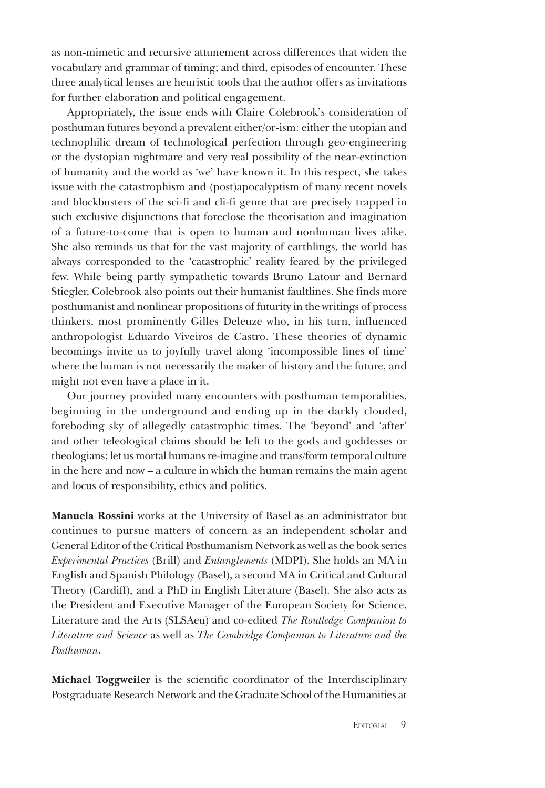as non-mimetic and recursive attunement across differences that widen the vocabulary and grammar of timing; and third, episodes of encounter. These three analytical lenses are heuristic tools that the author offers as invitations for further elaboration and political engagement.

Appropriately, the issue ends with Claire Colebrook's consideration of posthuman futures beyond a prevalent either/or-ism: either the utopian and technophilic dream of technological perfection through geo-engineering or the dystopian nightmare and very real possibility of the near-extinction of humanity and the world as 'we' have known it. In this respect, she takes issue with the catastrophism and (post)apocalyptism of many recent novels and blockbusters of the sci-fi and cli-fi genre that are precisely trapped in such exclusive disjunctions that foreclose the theorisation and imagination of a future-to-come that is open to human and nonhuman lives alike. She also reminds us that for the vast majority of earthlings, the world has always corresponded to the 'catastrophic' reality feared by the privileged few. While being partly sympathetic towards Bruno Latour and Bernard Stiegler, Colebrook also points out their humanist faultlines. She finds more posthumanist and nonlinear propositions of futurity in the writings of process thinkers, most prominently Gilles Deleuze who, in his turn, influenced anthropologist Eduardo Viveiros de Castro. These theories of dynamic becomings invite us to joyfully travel along 'incompossible lines of time' where the human is not necessarily the maker of history and the future, and might not even have a place in it.

Our journey provided many encounters with posthuman temporalities, beginning in the underground and ending up in the darkly clouded, foreboding sky of allegedly catastrophic times. The 'beyond' and 'after' and other teleological claims should be left to the gods and goddesses or theologians; let us mortal humans re-imagine and trans/form temporal culture in the here and now – a culture in which the human remains the main agent and locus of responsibility, ethics and politics.

**Manuela Rossini** works at the University of Basel as an administrator but continues to pursue matters of concern as an independent scholar and General Editor of the Critical Posthumanism Network as well as the book series *Experimental Practices* (Brill) and *Entanglements* (MDPI). She holds an MA in English and Spanish Philology (Basel), a second MA in Critical and Cultural Theory (Cardiff), and a PhD in English Literature (Basel). She also acts as the President and Executive Manager of the European Society for Science, Literature and the Arts (SLSAeu) and co-edited *The Routledge Companion to Literature and Science* as well as *The Cambridge Companion to Literature and the Posthuman*.

**Michael Toggweiler** is the scientific coordinator of the Interdisciplinary Postgraduate Research Network and the Graduate School of the Humanities at